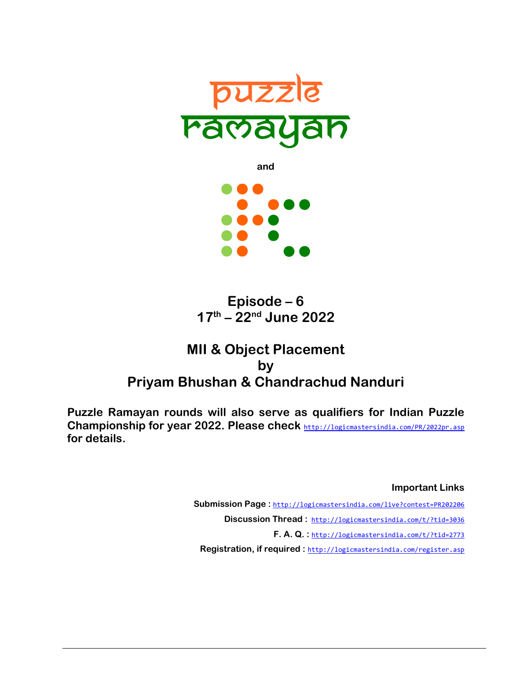

**and** 

**Episode – 6 17th – 22nd June 2022** 

# **MII & Object Placement by Priyam Bhushan & Chandrachud Nanduri**

**Puzzle Ramayan rounds will also serve as qualifiers for Indian Puzzle Championship for year 2022. Please check** http://logicmastersindia.com/PR/2022pr.asp **for details.** 

> **Important Links** Submission Page: http://logicmastersindia.com/live?contest=PR202206 Discussion Thread: http://logicmastersindia.com/t/?tid=3036 **F. A. Q. :** http://logicmastersindia.com/t/?tid=2773 **Registration, if required :** http://logicmastersindia.com/register.asp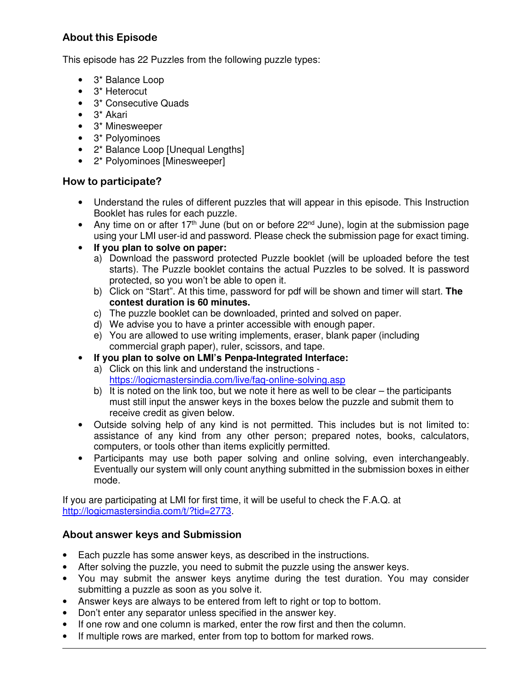## **About this Episode**

This episode has 22 Puzzles from the following puzzle types:

- 3\* Balance Loop
- 3\* Heterocut
- 3\* Consecutive Quads
- 3\* Akari
- 3\* Minesweeper
- 3\* Polyominoes
- 2\* Balance Loop [Unequal Lengths]
- 2\* Polyominoes [Minesweeper]

### **How to participate?**

- Understand the rules of different puzzles that will appear in this episode. This Instruction Booklet has rules for each puzzle.
- Any time on or after 17<sup>th</sup> June (but on or before 22<sup>nd</sup> June), login at the submission page using your LMI user-id and password. Please check the submission page for exact timing.
- **If you plan to solve on paper:**
	- a) Download the password protected Puzzle booklet (will be uploaded before the test starts). The Puzzle booklet contains the actual Puzzles to be solved. It is password protected, so you won't be able to open it.
	- b) Click on "Start". At this time, password for pdf will be shown and timer will start. **The contest duration is 60 minutes.**
	- c) The puzzle booklet can be downloaded, printed and solved on paper.
	- d) We advise you to have a printer accessible with enough paper.
	- e) You are allowed to use writing implements, eraser, blank paper (including commercial graph paper), ruler, scissors, and tape.
- **If you plan to solve on LMI's Penpa-Integrated Interface:**
	- a) Click on this link and understand the instructions https://logicmastersindia.com/live/faq-online-solving.asp
	- b) It is noted on the link too, but we note it here as well to be clear the participants must still input the answer keys in the boxes below the puzzle and submit them to receive credit as given below.
- Outside solving help of any kind is not permitted. This includes but is not limited to: assistance of any kind from any other person; prepared notes, books, calculators, computers, or tools other than items explicitly permitted.
- Participants may use both paper solving and online solving, even interchangeably. Eventually our system will only count anything submitted in the submission boxes in either mode.

If you are participating at LMI for first time, it will be useful to check the F.A.Q. at http://logicmastersindia.com/t/?tid=2773.

## **About answer keys and Submission**

- Each puzzle has some answer keys, as described in the instructions.
- After solving the puzzle, you need to submit the puzzle using the answer keys.
- You may submit the answer keys anytime during the test duration. You may consider submitting a puzzle as soon as you solve it.
- Answer keys are always to be entered from left to right or top to bottom.
- Don't enter any separator unless specified in the answer key.
- If one row and one column is marked, enter the row first and then the column.
- If multiple rows are marked, enter from top to bottom for marked rows.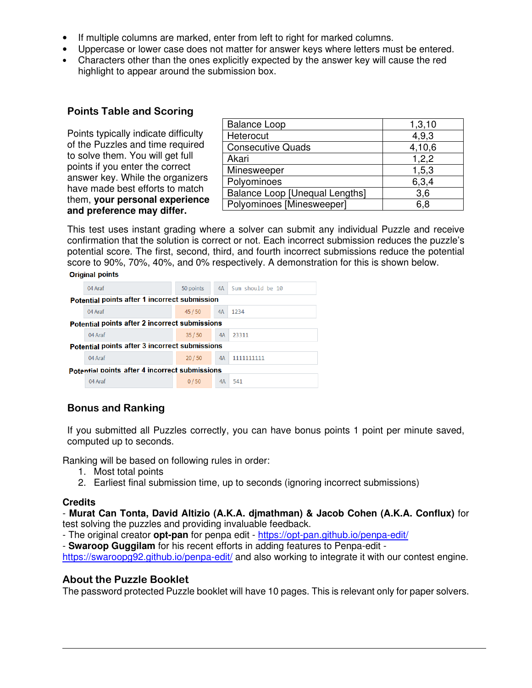- If multiple columns are marked, enter from left to right for marked columns.
- Uppercase or lower case does not matter for answer keys where letters must be entered.
- Characters other than the ones explicitly expected by the answer key will cause the red highlight to appear around the submission box.

### **Points Table and Scoring**

Points typically indicate difficulty of the Puzzles and time required to solve them. You will get full points if you enter the correct answer key. While the organizers have made best efforts to match them, **your personal experience and preference may differ.**

| <b>Balance Loop</b>                   | 1,3,10 |
|---------------------------------------|--------|
| Heterocut                             | 4,9,3  |
| <b>Consecutive Quads</b>              | 4,10,6 |
| Akari                                 | 1,2,2  |
| Minesweeper                           | 1,5,3  |
| Polyominoes                           | 6,3,4  |
| <b>Balance Loop [Unequal Lengths]</b> | 3,6    |
| Polyominoes [Minesweeper]             | 6,8    |

This test uses instant grading where a solver can submit any individual Puzzle and receive confirmation that the solution is correct or not. Each incorrect submission reduces the puzzle's potential score. The first, second, third, and fourth incorrect submissions reduce the potential score to 90%, 70%, 40%, and 0% respectively. A demonstration for this is shown below. **Original points** 

|                                                       | 04 Araf | 50 points |    | 4A Sum should be 10 |  |
|-------------------------------------------------------|---------|-----------|----|---------------------|--|
| <b>Potential points after 1 incorrect submission</b>  |         |           |    |                     |  |
|                                                       | 04 Araf | 45/50     | 4A | 1234                |  |
| <b>Potential points after 2 incorrect submissions</b> |         |           |    |                     |  |
|                                                       | 04 Araf | 35/50     | 4A | 23311               |  |
| Potential points after 3 incorrect submissions        |         |           |    |                     |  |
|                                                       | 04 Araf | 20/50     | 4A | 1111111111          |  |
| Potential points after 4 incorrect submissions        |         |           |    |                     |  |
|                                                       | 04 Araf | 0/50      | 4A | 541                 |  |
|                                                       |         |           |    |                     |  |

## **Bonus and Ranking**

If you submitted all Puzzles correctly, you can have bonus points 1 point per minute saved, computed up to seconds.

Ranking will be based on following rules in order:

- 1. Most total points
- 2. Earliest final submission time, up to seconds (ignoring incorrect submissions)

### **Credits**

- **Murat Can Tonta, David Altizio (A.K.A. djmathman) & Jacob Cohen (A.K.A. Conflux)** for test solving the puzzles and providing invaluable feedback.

- The original creator **opt-pan** for penpa edit - https://opt-pan.github.io/penpa-edit/

- **Swaroop Guggilam** for his recent efforts in adding features to Penpa-edit -

https://swaroopg92.github.io/penpa-edit/ and also working to integrate it with our contest engine.

### **About the Puzzle Booklet**

The password protected Puzzle booklet will have 10 pages. This is relevant only for paper solvers.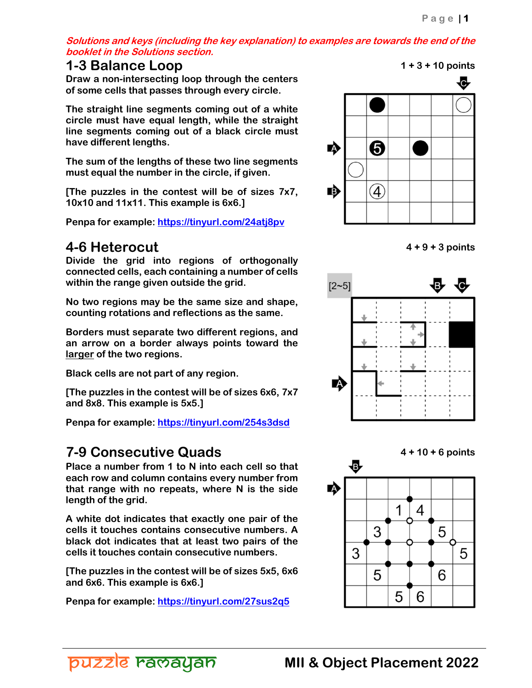**Solutions and keys (including the key explanation) to examples are towards the end of the booklet in the Solutions section.** 

## **1-3 Balance Loop 1 + 3 + 10 points**

**Draw a non-intersecting loop through the centers of some cells that passes through every circle.** 

**The straight line segments coming out of a white circle must have equal length, while the straight line segments coming out of a black circle must have different lengths.** 

**The sum of the lengths of these two line segments must equal the number in the circle, if given.** 

**[The puzzles in the contest will be of sizes 7x7, 10x10 and 11x11. This example is 6x6.]** 

**Penpa for example: https://tinyurl.com/24atj8pv**

## **4-6 Heterocut 4 + 9 + 3 points**

**Divide the grid into regions of orthogonally connected cells, each containing a number of cells within the range given outside the grid.** 

**No two regions may be the same size and shape, counting rotations and reflections as the same.** 

**Borders must separate two different regions, and an arrow on a border always points toward the larger of the two regions.** 

**Black cells are not part of any region.** 

**[The puzzles in the contest will be of sizes 6x6, 7x7 and 8x8. This example is 5x5.]** 

**Penpa for example: https://tinyurl.com/254s3dsd** 

puzzle ravayan

**7-9 Consecutive Quads** 4 + 10 + 6 points<br>Place a number from 1 to N into each cell so that 4 + 3 **Place a number from 1 to N into each cell so that each row and column contains every number from that range with no repeats, where N is the side length of the grid.** 

**A white dot indicates that exactly one pair of the cells it touches contains consecutive numbers. A black dot indicates that at least two pairs of the cells it touches contain consecutive numbers.** 

**[The puzzles in the contest will be of sizes 5x5, 6x6 and 6x6. This example is 6x6.]** 

**Penpa for example: https://tinyurl.com/27sus2q5** 

lC. 6 **A**  $\left( 4\right)$ I.







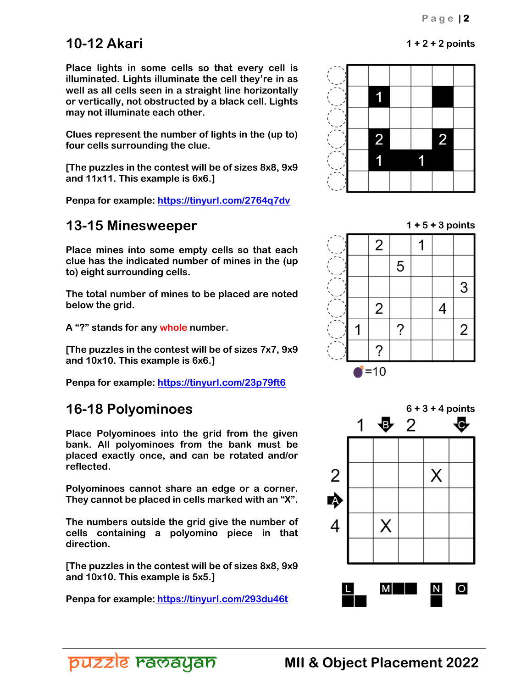# **10-12 Akari 1 + 2 + 2 points**

**Place lights in some cells so that every cell is illuminated. Lights illuminate the cell they're in as well as all cells seen in a straight line horizontally or vertically, not obstructed by a black cell. Lights may not illuminate each other.** 

**Clues represent the number of lights in the (up to) four cells surrounding the clue.** 

**[The puzzles in the contest will be of sizes 8x8, 9x9 and 11x11. This example is 6x6.]** 

**Penpa for example: https://tinyurl.com/2764q7dv** 

# **13-15 Minesweeper 13-15 Minesweeper**

**Place mines into some empty cells so that each clue has the indicated number of mines in the (up to) eight surrounding cells.** 

**The total number of mines to be placed are noted below the grid.** 

**A "?" stands for any whole number.** 

**[The puzzles in the contest will be of sizes 7x7, 9x9 and 10x10. This example is 6x6.]** 

**Penpa for example: https://tinyurl.com/23p79ft6**

**Place Polyominoes into the grid from the given bank. All polyominoes from the bank must be placed exactly once, and can be rotated and/or reflected.** 

**Polyominoes cannot share an edge or a corner. They cannot be placed in cells marked with an "X".** 

**The numbers outside the grid give the number of cells containing a polyomino piece in that direction.** 

**[The puzzles in the contest will be of sizes 8x8, 9x9 and 10x10. This example is 5x5.]** 

**Penpa for example: https://tinyurl.com/293du46t**







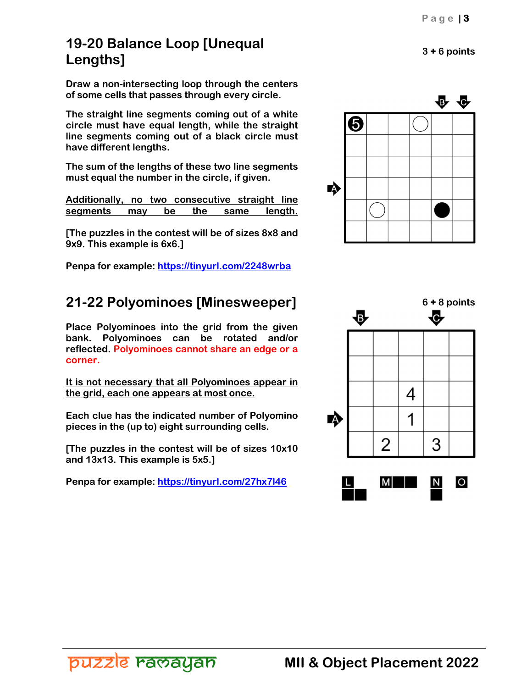# **19-20 Balance Loop [Unequal Lengths] 3 + 6 points**

**Draw a non-intersecting loop through the centers of some cells that passes through every circle.** 

**The straight line segments coming out of a white circle must have equal length, while the straight line segments coming out of a black circle must have different lengths.** 

**The sum of the lengths of these two line segments must equal the number in the circle, if given.** 

**Additionally, no two consecutive straight line segments may be the same length.**

**[The puzzles in the contest will be of sizes 8x8 and 9x9. This example is 6x6.]** 

**Penpa for example: https://tinyurl.com/2248wrba**

**Place Polyominoes into the grid from the given bank. Polyominoes can be rotated and/or reflected. Polyominoes cannot share an edge or a corner.** 

**It is not necessary that all Polyominoes appear in the grid, each one appears at most once.** 

**Each clue has the indicated number of Polyomino pieces in the (up to) eight surrounding cells.** 

**[The puzzles in the contest will be of sizes 10x10 and 13x13. This example is 5x5.]** 

**Penpa for example: https://tinyurl.com/27hx7l46**





puzzle ravayan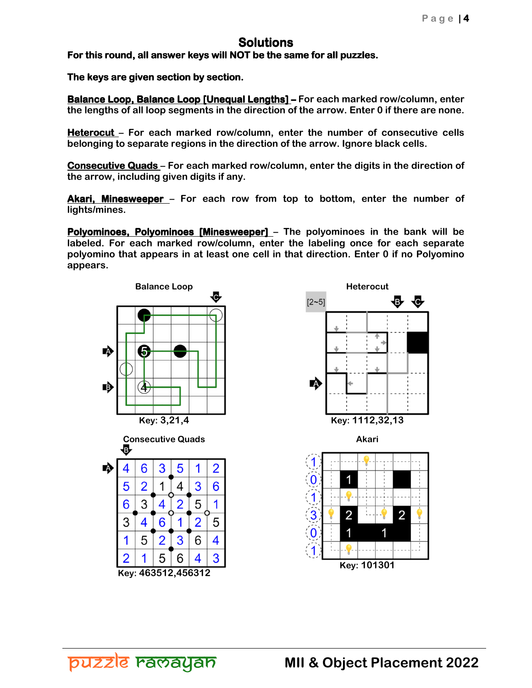## **Solutions**

For this round, all answer keys will NOT be the same for all puzzles.

The keys are given section by section.

**Balance Loop, Balance Loop [Unequal Lengths]** – For each marked row/column, enter **the lengths of all loop segments in the direction of the arrow. Enter 0 if there are none.** 

**Heterocut – For each marked row/column, enter the number of consecutive cells belonging to separate regions in the direction of the arrow. Ignore black cells.** 

**Consecutive Quads** – For each marked row/column, enter the digits in the direction of **the arrow, including given digits if any.** 

Akari, Minesweeper - For each row from top to bottom, enter the number of **lights/mines.** 

**Polyominoes, Polyominoes [Minesweeper]** – The polyominoes in the bank will be **labeled. For each marked row/column, enter the labeling once for each separate polyomino that appears in at least one cell in that direction. Enter 0 if no Polyomino appears.** 





puzzle ravayan